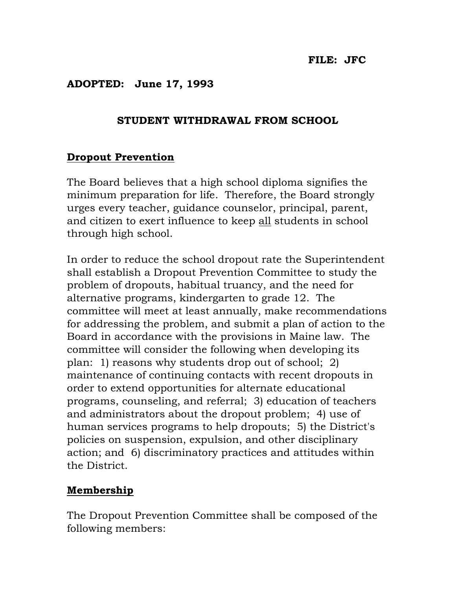## ADOPTED: June 17, 1993

## STUDENT WITHDRAWAL FROM SCHOOL

## Dropout Prevention

The Board believes that a high school diploma signifies the minimum preparation for life. Therefore, the Board strongly urges every teacher, guidance counselor, principal, parent, and citizen to exert influence to keep all students in school through high school.

In order to reduce the school dropout rate the Superintendent shall establish a Dropout Prevention Committee to study the problem of dropouts, habitual truancy, and the need for alternative programs, kindergarten to grade 12. The committee will meet at least annually, make recommendations for addressing the problem, and submit a plan of action to the Board in accordance with the provisions in Maine law. The committee will consider the following when developing its plan: 1) reasons why students drop out of school; 2) maintenance of continuing contacts with recent dropouts in order to extend opportunities for alternate educational programs, counseling, and referral; 3) education of teachers and administrators about the dropout problem; 4) use of human services programs to help dropouts; 5) the District's policies on suspension, expulsion, and other disciplinary action; and 6) discriminatory practices and attitudes within the District.

## Membership

The Dropout Prevention Committee shall be composed of the following members: